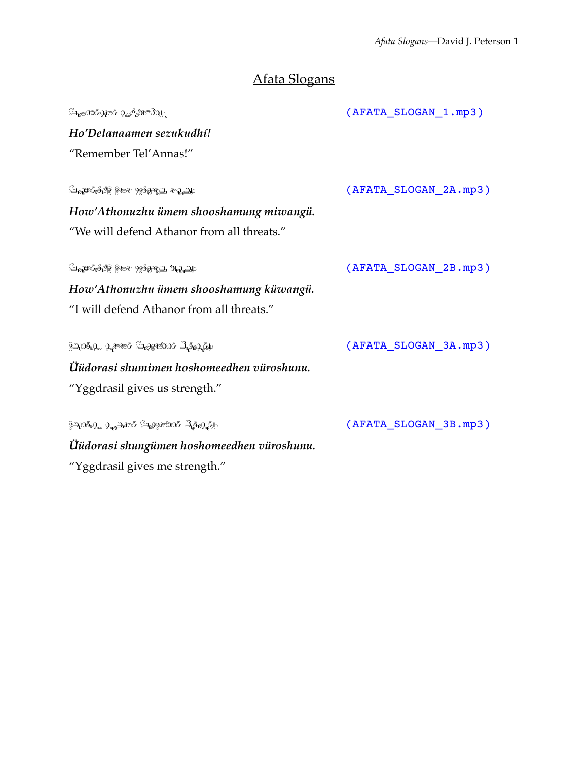# Afata Slogans

|                                                                    | (AFATA_SLOGAN_1.mp3)  |
|--------------------------------------------------------------------|-----------------------|
| Ho'Delanaamen sezukudhí!                                           |                       |
| "Remember Tel'Annas!"                                              |                       |
|                                                                    |                       |
| ် မြည္သားတို့တိုင္ပြဲ ရွိဆား ၇၉ <b>၀ို</b> က္သည္ <i>ေ</i> ပ့္သည္ဟု | (AFATA_SLOGAN_2A.mp3) |
| How'Athonuzhu ümem shooshamung miwangü.                            |                       |
| "We will defend Athanor from all threats."                         |                       |
| ် အညာတို့ ေတြ အောက္ အမွား အ <u>သိုး သား</u>                        | (AFATA SLOGAN 2B.mp3) |
| How'Athonuzhu ümem shooshamung küwangü.                            |                       |
| "I will defend Athanor from all threats."                          |                       |
| 821031.9. 9.2~2& S282590% Lis2.Edo                                 | (AFATA_SLOGAN_3A.mp3) |
| Üüdorasi shumimen hoshomeedhen vüroshunu.                          |                       |
| "Yggdrasil gives us strength."                                     |                       |
| \$2,0\$,9, 0, 2, 2, 3, 3, 3, 3, 3, 3, 3, 3, 3, 6, 6                | (AFATA_SLOGAN_3B.mp3) |
| Üüdorasi shungümen hoshomeedhen vüroshunu.                         |                       |
| "Yggdrasil gives me strength."                                     |                       |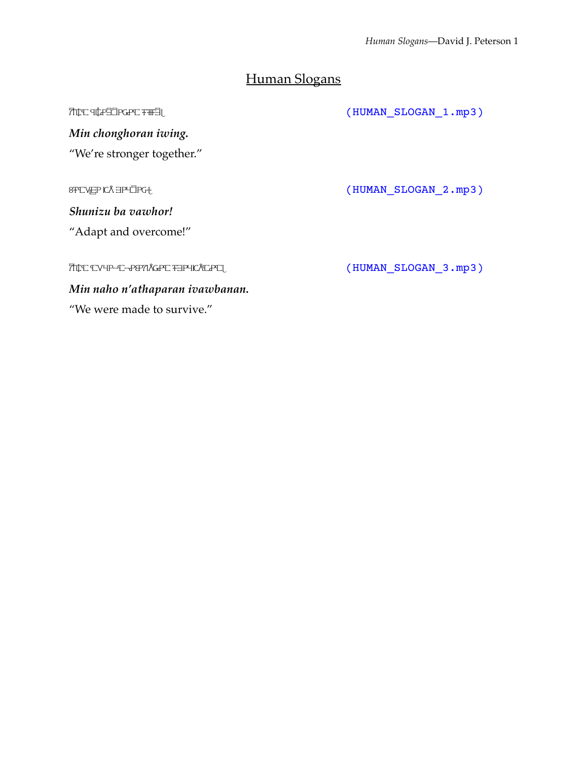# Human Slogans

| TILE PSOEESIP PIN               | (HUMAN SLOGAN 1.mp3) |
|---------------------------------|----------------------|
| Min chonghoran iwing.           |                      |
| "We're stronger together."      |                      |
|                                 |                      |
| 8FCVEP CÅ EPHOPG+               | (HUMAN SLOGAN 2.mp3) |
| Shunizu ba vawhor!              |                      |
| "Adapt and overcome!"           |                      |
|                                 |                      |
| 7TIC CYHP-C-P&NÅGPC FEPHICÅCPC  | (HUMAN SLOGAN 3.mp3) |
| Min naho n'athaparan ivawbanan. |                      |
| "We were made to survive."      |                      |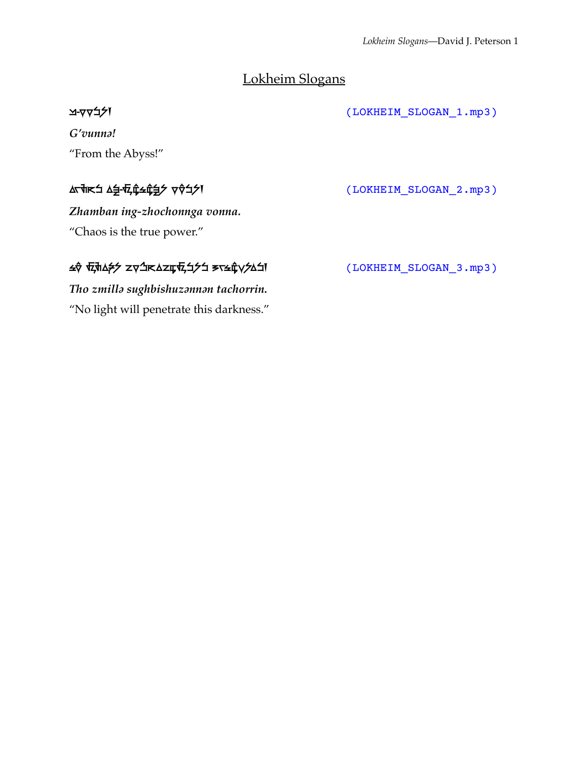### Lokheim Slogans

 $\Delta$ -γγί/) (LOKHEIM\_SLOGAN\_1.mp3)

*G'vunnǝ!* "From the Abyss!"

*Zhamban ing-zhochonnga vonna.* "Chaos is the true power."

### ʦo zmil! su%bis&zn!n taʦ#r!in. (LOKHEIM\_SLOGAN\_3.mp3)

*Tho zmillǝ sughbishuzǝnnǝn tachorrin.* "No light will penetrate this darkness."

Δς της Δερετικής Δερετικής Δέρετρος Δερετικής Δερετικής Δέρετρος Δερετικής Δέρετρος Δερετικής Δέρετρος Δερετικ<br>Δερετικής Δερετικής Δερετικής Δερετικής Δερετικής Δερετικής Δερετικής Δερετικής Δερετικής Δερετικής Δερετικής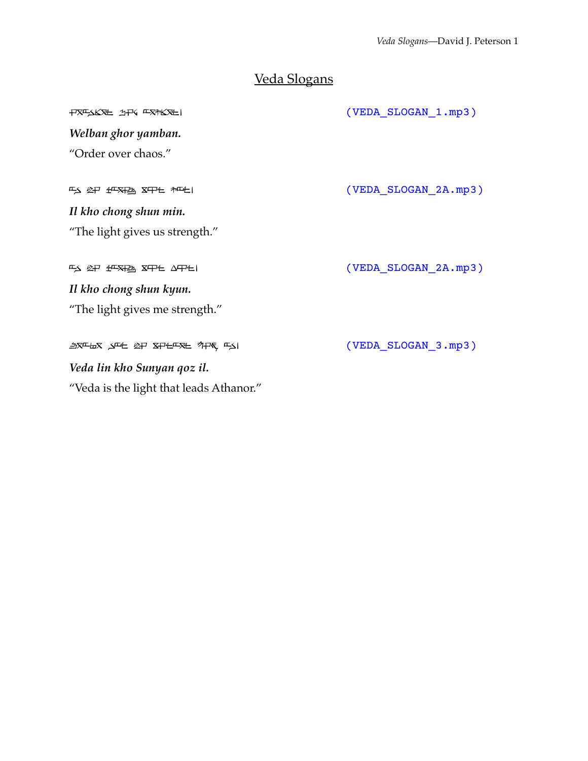## Veda Slogans

| <b>TXFAKXE 1TK FX7KXEI</b>              | (VEDA_SLOGAN_1.mp3)  |
|-----------------------------------------|----------------------|
| Welban ghor yamban.                     |                      |
| "Order over chaos."                     |                      |
| FS 2P 地采地 X中七 加七                        | (VEDA_SLOGAN_2A.mp3) |
|                                         |                      |
| Il kho chong shun min.                  |                      |
| "The light gives us strength."          |                      |
|                                         |                      |
| FS 2P 地对地 XPH APH                       | (VEDA_SLOGAN_2A.mp3) |
| Il kho chong shun kyun.                 |                      |
| "The light gives me strength."          |                      |
|                                         |                      |
| <b>与又平石又 入平七 必尸 又尸七平又七 为尸氐, 平入</b>      | (VEDA_SLOGAN_3.mp3)  |
| Veda lin kho Sunyan qoz il.             |                      |
| "Veda is the light that leads Athanor." |                      |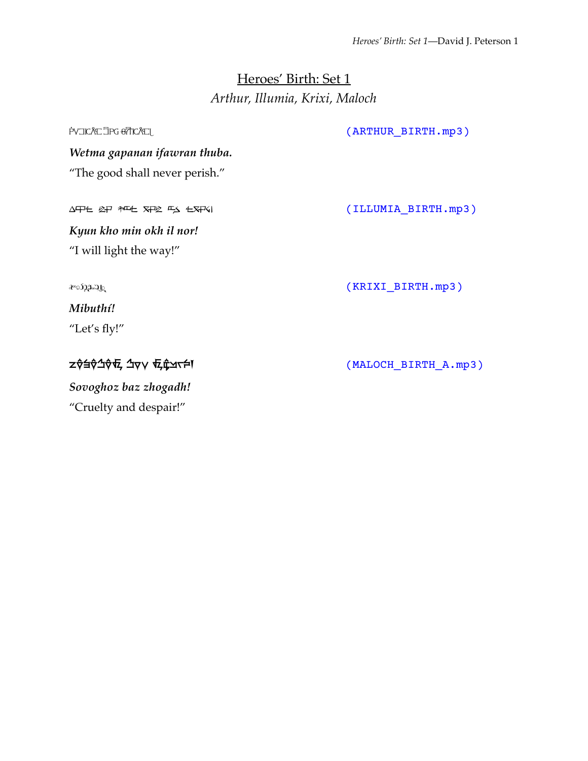### Heroes' Birth: Set 1 *Arthur, Illumia, Krixi, Maloch*

PVIICATIPG & TICATLE TO MAKE THE REPORT OF THE MANUSCRIPT OF THE MANUSCRIPT OF THE MANUSCRIPT OF THE MANUSCRIPT OF THE MANUSCRIPT OF THE MANUSCRIPT OF THE MANUSCRIPT OF THE MANUSCRIPT OF THE MANUSCRIPT OF THE MANUSCRIPT OF *Wetma gapanan ifawran thuba.* "The good shall never perish." AFIE & PT THE STAN EXTS EXTS I MINOR CONTROLLERTH.mp3) *Kyun kho min okh il nor!* "I will light the way!"  $\alpha$ <sup>2</sup><sup>2</sup><sup>2</sup>)<sub>.</sub>  $\alpha$ <sup>3</sup>) *Mibuthí!* "Let's fly!" ZŶáŶŹŶV, ZVY VZ CZYTÉ V VOLT ZO TRALOCH\_BIRTH\_A.mp3) *Sovoghoz baz zhogadh!*

"Cruelty and despair!"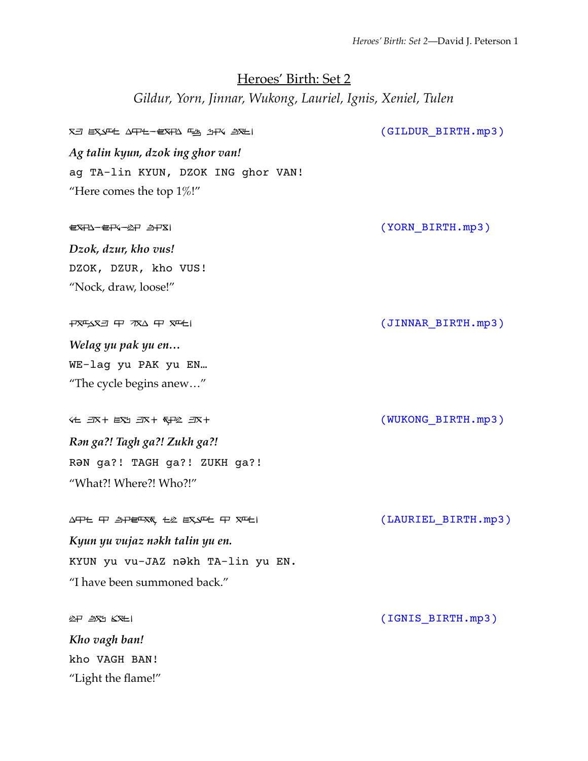# Heroes' Birth: Set 2 *Gildur, Yorn, Jinnar, Wukong, Lauriel, Ignis, Xeniel, Tulen*

| XEI EXAFE AFPE-EXFA FA 1HK <i>E</i> IXEI                                                                                                                                                               | (GILDUR_BIRTH.mp3)  |
|--------------------------------------------------------------------------------------------------------------------------------------------------------------------------------------------------------|---------------------|
| Ag talin kyun, dzok ing ghor van!                                                                                                                                                                      |                     |
| ag TA-lin KYUN, DZOK ING ghor VAN!                                                                                                                                                                     |                     |
| "Here comes the top $1\%$ !"                                                                                                                                                                           |                     |
| 包又开公一包干V-2中 <i>与</i> 中又1                                                                                                                                                                               | (YORN_BIRTH.mp3)    |
| Dzok, dzur, kho vus!                                                                                                                                                                                   |                     |
| DZOK, DZUR, kho VUS!                                                                                                                                                                                   |                     |
| "Nock, draw, loose!"                                                                                                                                                                                   |                     |
| $+$ $\overline{X}$ $\overline{Y}$ $\overline{X}$ $\overline{Y}$ $\overline{Y}$ $\overline{Y}$ $\overline{Y}$ $\overline{Y}$ $\overline{Y}$ $\overline{Y}$ $\overline{Y}$ $\overline{Y}$ $\overline{Y}$ | (JINNAR_BIRTH.mp3)  |
| Welag yu pak yu en                                                                                                                                                                                     |                     |
| WE-lag yu PAK yu EN                                                                                                                                                                                    |                     |
| "The cycle begins anew"                                                                                                                                                                                |                     |
| 44 3R+ EX1 3R+ 5P2 3R+                                                                                                                                                                                 | (WUKONG_BIRTH.mp3)  |
| Rən ga?! Tagh ga?! Zukh ga?!                                                                                                                                                                           |                     |
| RON ga?! TAGH ga?! ZUKH ga?!                                                                                                                                                                           |                     |
| "What?! Where?! Who?!"                                                                                                                                                                                 |                     |
| AFIL FI SPEFXK, LL EXAFL FI XFLI                                                                                                                                                                       | (LAURIEL BIRTH.mp3) |
| Kyun yu vujaz nəkh talin yu en.                                                                                                                                                                        |                     |
| KYUN yu vu-JAZ nakh TA-lin yu EN.                                                                                                                                                                      |                     |
| "I have been summoned back."                                                                                                                                                                           |                     |
| lep áru Kr£l                                                                                                                                                                                           | (IGNIS_BIRTH.mp3)   |
| Kho vagh ban!                                                                                                                                                                                          |                     |
| kho VAGH BAN!                                                                                                                                                                                          |                     |
| "Light the flame!"                                                                                                                                                                                     |                     |
|                                                                                                                                                                                                        |                     |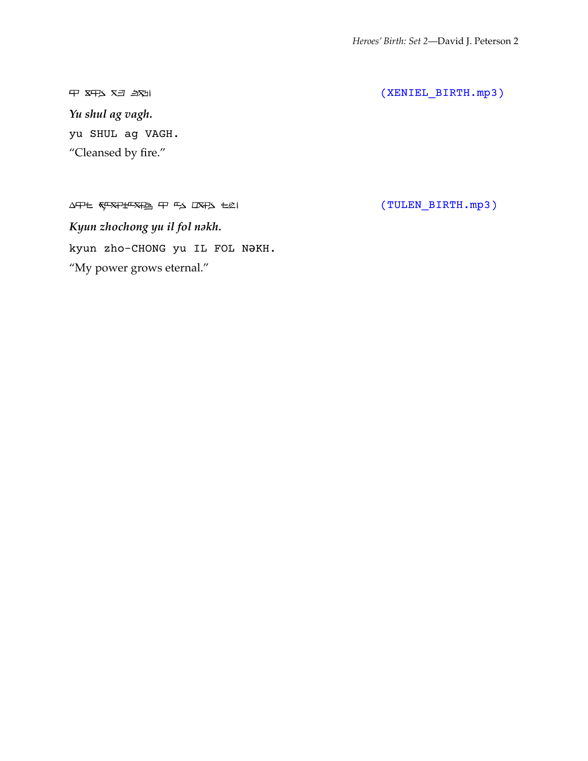*Yu shul ag vagh.* yu SHUL ag VAGH. "Cleansed by fire."

 $\Delta T$   $\leftarrow$   $\frac{1}{\sqrt{2}}$   $\frac{1}{\sqrt{2}}$   $\frac{1}{\sqrt{2}}$   $\frac{1}{\sqrt{2}}$   $\frac{1}{\sqrt{2}}$   $\frac{1}{\sqrt{2}}$   $\frac{1}{\sqrt{2}}$   $\frac{1}{\sqrt{2}}$   $\frac{1}{\sqrt{2}}$   $\frac{1}{\sqrt{2}}$   $\frac{1}{\sqrt{2}}$   $\frac{1}{\sqrt{2}}$   $\frac{1}{\sqrt{2}}$   $\frac{1}{\sqrt{2}}$   $\frac{1}{\sqrt{2}}$   $\frac{1}{\sqrt{2}}$  *Kyun zhochong yu il fol nǝkh.* kyun zho-CHONG yu IL FOL NǝKH. "My power grows eternal."

 $\begin{array}{cc}\n\text{P} & \text{SFR} & \text{SFR} \\
\text{SFR} & \text{SFR} & \text{SFR} \\
\text{SFR} & \text{SFR} & \text{SFR} \\
\text{SFR} & \text{SFR} & \text{SFR} \\
\text{SFR} & \text{SFR} & \text{SFR} \\
\text{SFR} & \text{SFR} & \text{SFR} \\
\text{SFR} & \text{SFR} & \text{SFR} \\
\text{SFR} & \text{SFR} & \text{SFR} \\
\text{SFR} & \text{SFR} & \text{SFR} \\
\text{SFR} & \text{SFR} & \text{SFR} \\
\text{S$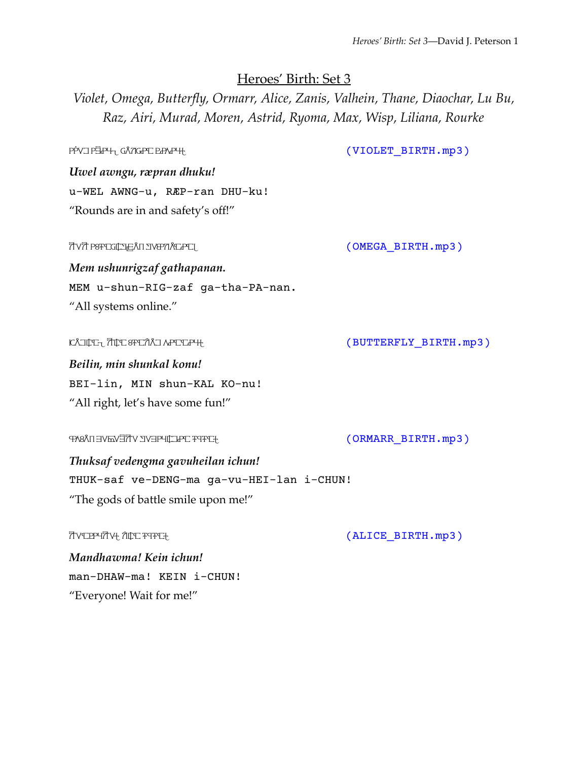#### Heroes' Birth: Set 3

*Violet, Omega, Butterfly, Ormarr, Alice, Zanis, Valhein, Thane, Diaochar, Lu Bu, Raz, Airi, Murad, Moren, Astrid, Ryoma, Max, Wisp, Liliana, Rourke*

PPVIPEP<sup>H</sup><sub>U</sub>GANGPIERAP<sup>H</sup>! (VIOLET BIRTH.mp3)

*Uwel awngu, ræpran dhuku!* u-WEL AWNG-u, RÆP-ran DHU-ku! "Rounds are in and safety's off!"

mem mem us not not the memory of  $\overline{C}$  (OMEGA\_BIRTH.mp3)

*Mem ushunrigzaf gathapanan.* MEM u-shun-RIG-zaf ga-tha-PA-nan. "All systems online."

 $\begin{array}{lll} \texttt{KAlg} & \texttt{KAlg} & \texttt{KAlg} \\ \texttt{KAlg} & \texttt{KAlg} & \texttt{KAlg} & \texttt{KAlg} \\ \texttt{KAlg} & \texttt{KAlg} & \texttt{KAlg} & \texttt{KAlg} & \texttt{KAlg} \\ \texttt{KAlg} & \texttt{KAlg} & \texttt{KAlg} & \texttt{KAlg} & \texttt{KAlg} & \texttt{KAlg} & \texttt{KAlg} \\ \texttt{KAlg} & \texttt{KAlg} & \texttt{KAlg} & \texttt{KAlg} & \texttt{KAlg} & \texttt{KAlg} & \texttt{KAlg} & \texttt{K$ 

*Beilin, min shunkal konu!* BEI-lin, MIN shun-KAL KO-nu! "All right, let's have some fun!"

%ksaf vedeŋme gevuhilon #ʦ#n! (ORMARR\_BIRTH.mp3)

*Thuksaf vedengma gavuheilan ichun!* THUK-saf ve-DENG-ma ga-vu-HEI-lan i-CHUN! "The gods of battle smile upon me!"

mendia mendia mendia mendia mendia mendia mendia mendia mendia mendia mendia mendia mendia mendia mendia mendia mendia mendia mendia mendia mendia mendia mendia mendia mendia mendia mendia mendia mendia mendia mendia mendi

*Mandhawma! Kein ichun!* man-DHAW-ma! KEIN i-CHUN! "Everyone! Wait for me!"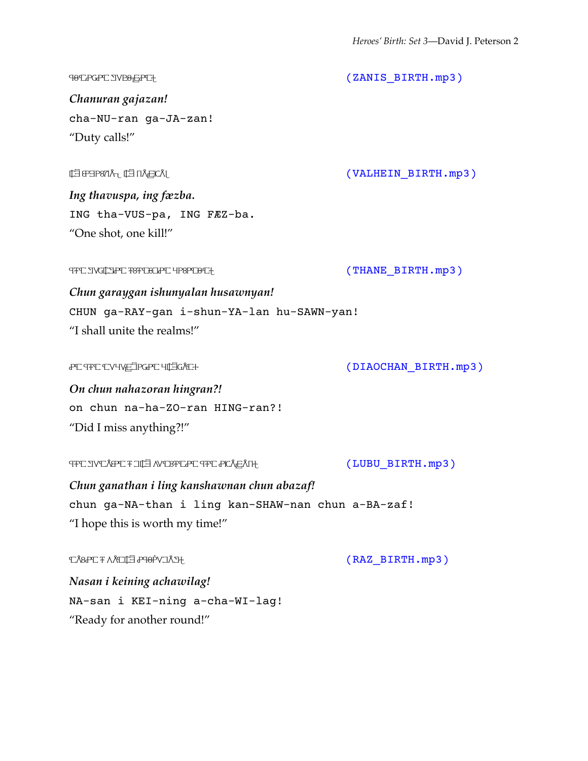ʦ'noron gedz'zon! (ZANIS\_BIRTH.mp3) *Chanuran gajazan!* cha-NU-ran ga-JA-zan! "Duty calls!" iŋ \$vuspa, iŋ fazba. (VALHEIN\_BIRTH.mp3) *Ing thavuspa, ing fæzba.* ING tha-VUS-pa, ING FÆZ-ba. "One shot, one kill!"  $(THANE BIRTH.mp3)$  (THANE BIRTH.mp3) *Chun garaygan ishunyalan husawnyan!* CHUN ga-RAY-gan i-shun-YA-lan hu-SAWN-yan! "I shall unite the realms!" on on the new metal of the new metal of the new metal of the new metal of the new metal of the new metal of the new metal of the new metal of the new metal of the new metal of the new metal of the new metal of the new meta *On chun nahazoran hingran?!* on chun na-ha-ZO-ran HING-ran?! "Did I miss anything?!" **GENA HERRA GENA A GENA A LIGHT GENA A LIGHT GENA A LIGHT GENA A LIGHT GENA A LIGHT GENA A LIGHT GENA A LIGHT G** *Chun ganathan i ling kanshawnan chun abazaf!*

chun ga-NA-than i ling kan-SHAW-nan chun a-BA-zaf! "I hope this is worth my time!"

 $T\&RAT$  **FANITE PHOPV**  $\exists \Lambda T$  of  $\Box RAT$  or  $\Box RAT$  or  $\Box RAT$  . The  $\Box S$  or  $\Box RAT$ 

*Nasan i keining achawilag!* NA-san i KEI-ning a-cha-WI-lag! "Ready for another round!"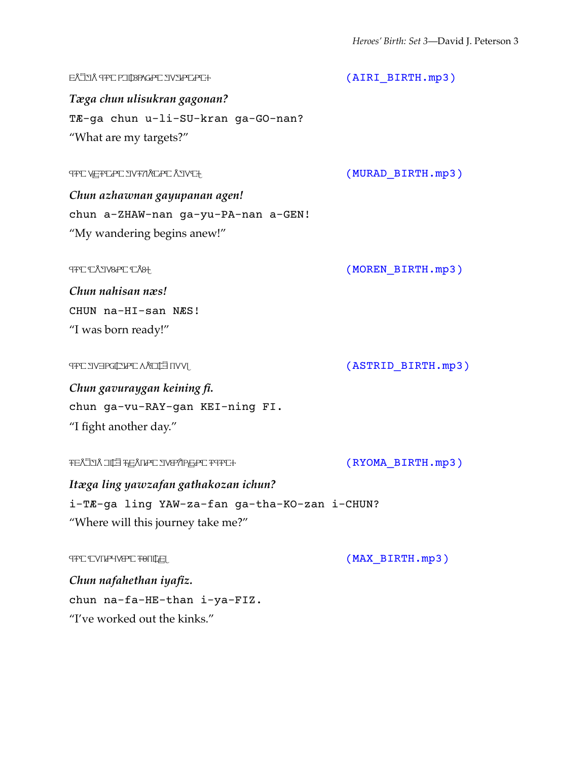ta(ga ʦ#n ulisukron gegonon? (AIRI\_BIRTH.mp3) *Tæga chun ulisukran gagonan?* TÆ-ga chun u-li-SU-kran ga-GO-nan? "What are my targets?" **THE VEFTLAL IV FRALLAL AIVET** *Chun azhawnan gayupanan agen!* chun a-ZHAW-nan ga-yu-PA-nan a-GEN! "My wandering begins anew!"  $(MOREN_BIRTH, mp3)$ *Chun nahisan næs!* CHUN na-HI-san NÆS! "I was born ready!" **GEVERGINAL AN GEVERUPIGON FOR GENUA GENUEI (ASTRID\_BIRTH.mp3)** *Chun gavuraygan keining fi.* chun ga-vu-RAY-gan KEI-ning FI. "I fight another day." FEATEYA THE TALLER THAT HE TATA LIKE THAT HE TATALLER THAT THE TATALLER THAT THE TATALLER THAT THE TATALLER TH *Itæga ling yawzafan gathakozan ichun?* i-TÆ-ga ling YAW-za-fan ga-tha-KO-zan i-CHUN? "Where will this journey take me?" **OFFER THAN NET ASSESSED AT A NEW REFORMANCY (MAX\_BIRTH.mp3)** *Chun nafahethan iyafiz.* chun na-fa-HE-than i-ya-FIZ.

"I've worked out the kinks."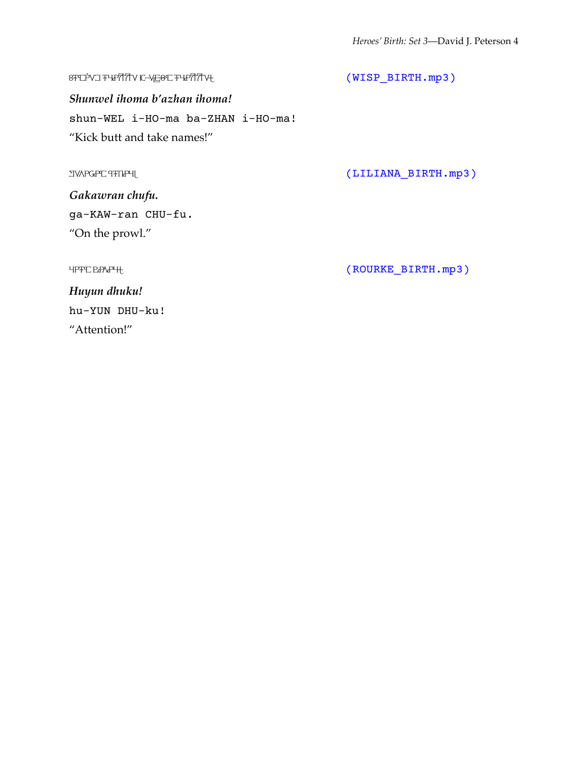$(TSP\_BIRTH, mp3)$ 

*Shunwel ihoma b'azhan ihoma!* shun-WEL i-HO-ma ba-ZHAN i-HO-ma! "Kick butt and take names!"

 $[LILIANA_BIRTH,mp3] \label{eq:2}$ 

*Gakawran chufu.* ga-KAW-ran CHU-fu. "On the prowl."

 ${\small \texttt{HPFCEPAPH}} \hspace{1.5cm} \texttt{(ROURKE\_BIRTH.\texttt{mp3})}$ 

*Huyun dhuku!* hu-YUN DHU-ku! "Attention!"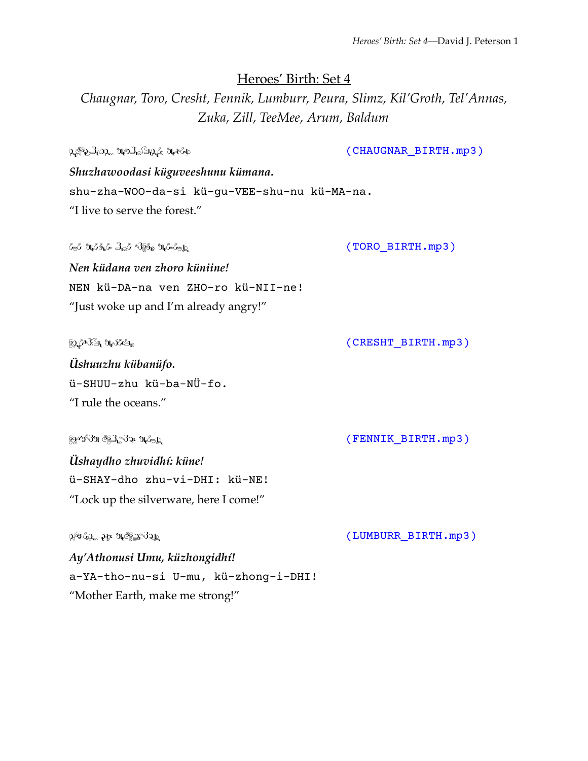Heroes' Birth: Set 4

*Chaugnar, Toro, Cresht, Fennik, Lumburr, Peura, Slimz, Kil'Groth, Tel'Annas, Zuka, Zill, TeeMee, Arum, Baldum*

 $\Omega_{\epsilon}$ Ցֆ, $\exists_{t} \Omega_{\epsilon}$ , Նր $\partial_{t} \Omega_{\epsilon}$ , Նր $\epsilon_{t}$ , Նրեն առանց առանց առանց առանց (CHAUGNAR\_BIRTH.mp3) *Shuzhawoodasi küguveeshunu kümana.* shu-zha-WOO-da-si kü-gu-VEE-shu-nu kü-MA-na. "I live to serve the forest." ી જીવા માં માં આવેલા માં આવેલા માં આવેલા આ બાળી તેમ જ વિસ્થાન માં આવેલા માં આવેલા આ બાળી માંથી માંથી આવેલા માં *Nen küdana ven zhoro küniine!* NEN kü-DA-na ven ZHO-ro kü-NII-ne! "Just woke up and I'm already angry!" ü!n3h '456 (CRESHT\_BIRTH.mp3) *Üshuuzhu kübanüfo.* ü-SHUU-zhu kü-ba-NÜ-fo. "I rule the oceans." ©*જી*ઈલ ઉંβેક્ષિ માટે આંગણવાડી આવેલા આ વ્યક્તિઓ (FENNIK\_BIRTH.mp3 ) *Üshaydho zhuvidhí: küne!* ü-SHAY-dho zhu-vi-DHI: kü-NE! "Lock up the silverware, here I come!"  $\mathfrak{B}^{\mathfrak{A}}$ ው ከተማሪ ከተማሪ up to the up to the up to the up to the up to the up to the up to the up to the up to the up to the up to the up to the up to the up to the up to the up to the up to the up to the up to the up *Ay'Athonusi Umu, küzhongidhí!*

a-YA-tho-nu-si U-mu, kü-zhong-i-DHI! "Mother Earth, make me strong!"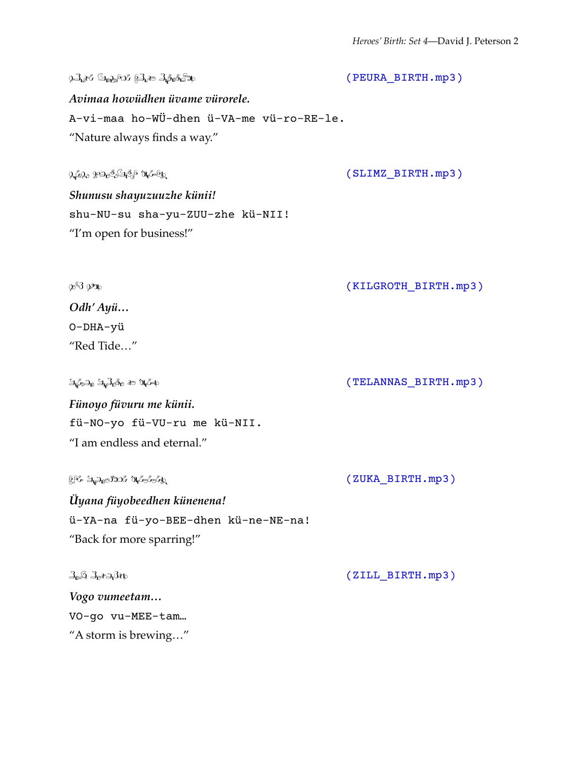$\partial A_{\alpha}$ i  $\partial B_{\alpha}$ a:  $\partial B_{\alpha}$ a:  $\partial B_{\alpha}$ a:  $\partial B_{\alpha}$ *Avimaa howüdhen üvame vürorele.* A-vi-maa ho-WÜ-dhen ü-VA-me vü-ro-RE-le. "Nature always finds a way."  $\Omega_{\epsilon}$ 69.  $\Omega_{\epsilon}$ 9.  $\Omega_{\epsilon}$ 6.  $\Omega_{\epsilon}$  /  $\Omega_{\epsilon}$  /  $\Omega_{\epsilon}$  /  $\Omega_{\epsilon}$  /  $\Omega_{\epsilon}$  /  $\Omega_{\epsilon}$  /  $\Omega_{\epsilon}$  /  $\Omega_{\epsilon}$  /  $\Omega_{\epsilon}$  /  $\Omega_{\epsilon}$  /  $\Omega_{\epsilon}$  /  $\Omega_{\epsilon}$  /  $\Omega_{\epsilon}$  /  $\Omega_{\epsilon}$  /  $\Omega_{\epsilon}$  /  $\Omega_{\epsilon}$  /  $\Omega_{\epsilon}$  / *Shunusu shayuzuuzhe künii!* shu-NU-su sha-yu-ZUU-zhe kü-NII! "I'm open for business!"  $\mathcal{D}^{\mathcal{S}}$  $\mathcal{D}^{\mathcal{S}}$  $\mathcal{D}^{\mathcal{S}}$ *Odh' Ayü…* O-DHA-yü "Red Tide…"  $\mathfrak{A}_{\ell}$ ,  $\mathfrak{A}_{\ell}$ ,  $\mathfrak{A}_{\ell}$ ,  $\mathfrak{A}_{\ell}$ ,  $\mathfrak{A}_{\ell}$ ,  $\mathfrak{A}_{\ell}$ ,  $\mathfrak{A}_{\ell}$ ,  $\mathfrak{A}_{\ell}$ ,  $\mathfrak{A}_{\ell}$ ,  $\mathfrak{A}_{\ell}$ ,  $\mathfrak{A}_{\ell}$ ,  $\mathfrak{A}_{\ell}$ ,  $\mathfrak{A}_{\ell}$ ,  $\mathfrak{A}_{\ell}$ ,  $\mathfrak{A}_{\ell}$ ,  $\mathfrak{A}_{\ell}$ *Fünoyo füvuru me künii.* fü-NO-yo fü-VU-ru me kü-NII. "I am endless and eternal."  $\mathbb{R}^{\kappa}$  ಕಿ.್ಯಾಂಗಿಯ 'ಗಮಿತಿಯನ್ನು '' (ZUKA\_BIRTH.mp3 ) *Üyana füyobeedhen künenena!* ü-YA-na fü-yo-BEE-dhen kü-ne-NE-na! "Back for more sparring!"  $\mathcal{L}_{\mathbf{a}}\mathcal{L}_{\mathbf{a}}\mathcal{L}_{\mathbf{a}}\mathcal{L}_{\mathbf{a}}\mathcal{L}_{\mathbf{b}}$  and  $\mathcal{L}_{\mathbf{a}}$  and  $\mathcal{L}_{\mathbf{a}}$  and  $\mathcal{L}_{\mathbf{a}}$  and  $\mathcal{L}_{\mathbf{a}}$  and  $\mathcal{L}_{\mathbf{a}}$  and  $\mathcal{L}_{\mathbf{a}}$  and  $\mathcal{L}_{\mathbf{a}}$  and  $\mathcal{L}_{\mathbf{a}}$  and  $\$ *Vogo vumeetam…* VO-go vu-MEE-tam… "A storm is brewing…"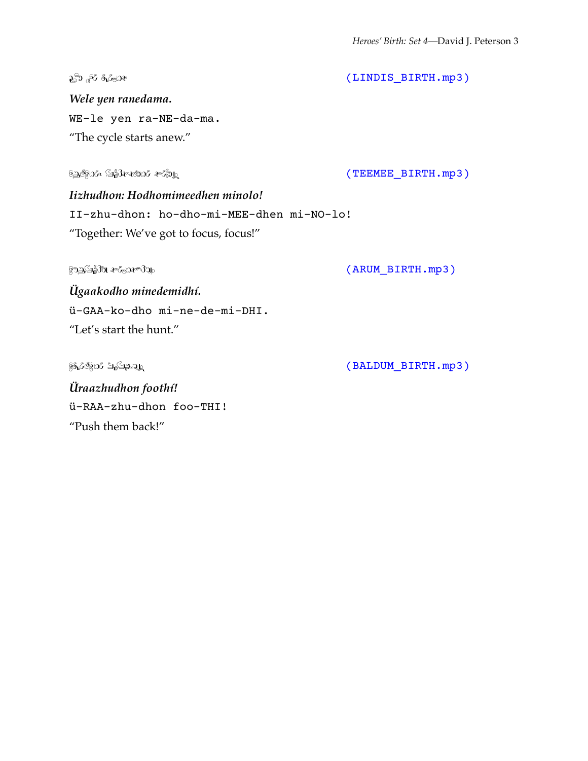$\mathcal{L}^{\mathfrak{D}}$  of  $\mathfrak{F}$  .  $\mathfrak{F}$  . The interval is the contract of  $(LINDIS\_BIRTH.np3)$ 

*Wele yen ranedama.* WE-le yen ra-NE-da-ma. "The cycle starts anew."

iŋ"9dn, ?8VBldn VLW! (TEEMEE\_BIRTH.mp3)

*Iizhudhon: Hodhomimeedhen minolo!* II-zhu-dhon: ho-dho-mi-MEE-dhen mi-NO-lo! "Together: We've got to focus, focus!"

 $\mathbb{R}^n$ ည $\mathbb{S}$ ိး  $\mathbb{R}^n$ ,  $\mathbb{R}^n$ ,  $\mathbb{R}^n$ ,  $\mathbb{R}^n$ ,  $\mathbb{R}^n$ ,  $\mathbb{R}^n$ ,  $\mathbb{R}^n$ ,  $\mathbb{R}^n$ ,  $\mathbb{R}^n$ ,  $\mathbb{R}^n$ ,  $\mathbb{R}^n$ ,  $\mathbb{R}^n$ ,  $\mathbb{R}^n$ ,  $\mathbb{R}^n$ ,  $\mathbb{R}^n$ ,  $\mathbb{R}^n$ ,  $\mathbb{R}$ 

*Ügaakodho minedemidhí.* ü-GAA-ko-dho mi-ne-de-mi-DHI. "Let's start the hunt."

 $\frac{1}{2}$  $\frac{1}{2}$  $\frac{1}{2}$  $\frac{1}{2}$  $\frac{1}{2}$  $\frac{1}{2}$  $\frac{1}{2}$  $\frac{1}{2}$  $\frac{1}{2}$  $\frac{1}{2}$  $\frac{1}{2}$  $\frac{1}{2}$  $\frac{1}{2}$  $\frac{1}{2}$  $\frac{1}{2}$  $\frac{1}{2}$  $\frac{1}{2}$  $\frac{1}{2}$  $\frac{1}{2}$  $\frac{1}{2}$  $\frac{1}{2}$  $\frac{1}{2}$  $\frac{1}{2}$  $\frac{1}{2}$  $\frac{1$ 

*Üraazhudhon foothí!* ü-RAA-zhu-dhon foo-THI! "Push them back!"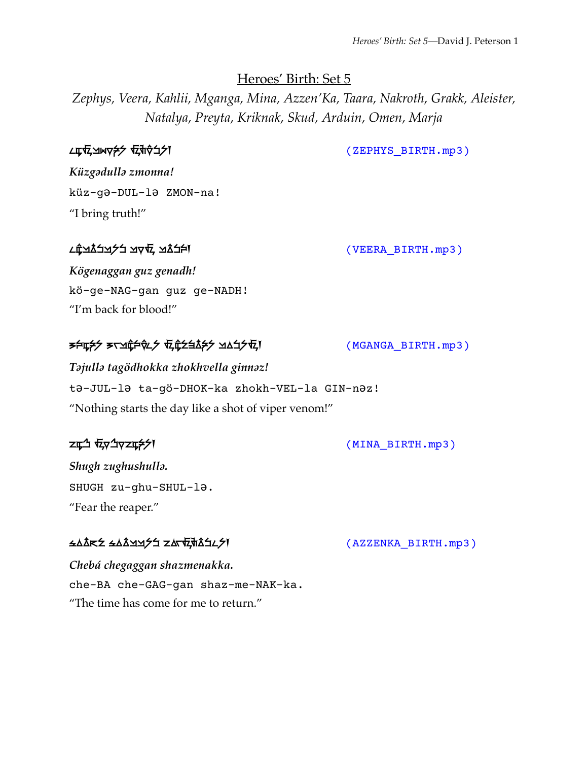### Heroes' Birth: Set 5

*Zephys, Veera, Kahlii, Mganga, Mina, Azzen'Ka, Taara, Nakroth, Grakk, Aleister, Natalya, Preyta, Kriknak, Skud, Arduin, Omen, Marja*

ZET ZEPHYS BIRTH.mp3)

*Küzgǝdullǝ zmonna!* küz-gǝ-DUL-lǝ ZMON-na! "I bring truth!"

### <u>c Canadian gradient (VEERA\_BIRTH.mp3)</u> (CEERA\_GIRTH.mp3)

*Kögenaggan guz genadh!* kö-ge-NAG-gan guz ge-NADH! "I'm back for blood!"

### t%l" tag#dzok" z#hvel" gin"z! (MGANGA\_BIRTH.mp3)

*Tǝjullǝ tagödhokka zhokhvella ginnǝz!* tǝ-JUL-lǝ ta-gö-DHOK-ka zhokh-VEL-la GIN-nǝz! "Nothing starts the day like a shot of viper venom!"

zu<sup>4</sup>  $\bar{t}$ y<sup>4</sup>yzu<del>2</del>>1

*Shugh zughushullǝ.* SHUGH zu-ghu-SHUL-lǝ. "Fear the reaper."

### <u>ss in syaristic set of the system</u> system in the system of the system in the system in the system in the system i

*Chebá chegaggan shazmenakka.* che-BA che-GAG-gan shaz-me-NAK-ka. "The time has come for me to return."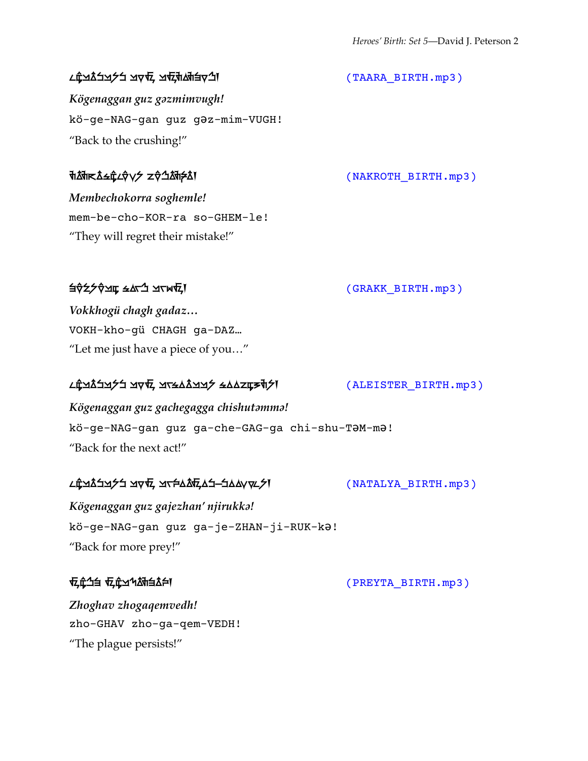#### k#waddwdda (Taara\_Birth.mp3) प्रदेश वर्णने अस्ति । अस्ति अस्ति अस्ति अस्ति । अस्ति अस्ति अस्ति अस्ति । अस्ति अ

*Kögenaggan guz gǝzmimvugh!* kö-ge-NAG-gan guz gǝz-mim-VUGH! "Back to the crushing!"

*Membechokorra soghemle!* mem-be-cho-KOR-ra so-GHEM-le! "They will regret their mistake!"

#### $\exists \hat{v}$   $\forall \hat{z}$   $\forall \hat{v}$   $\exists x \in \mathcal{A}$   $\exists x \in \mathcal{A}$   $\exists x \in \mathcal{A}$   $\exists x \in \mathcal{A}$   $\exists x \in \mathcal{A}$   $\exists x \in \mathcal{A}$   $\exists x \in \mathcal{A}$   $\exists x \in \mathcal{A}$   $\exists x \in \mathcal{A}$   $\exists x \in \mathcal{A}$   $\exists x \in \mathcal{A}$   $\exists x \in \mathcal{A}$   $\exists x \in \mathcal{A}$   $\exists x \in \mathcal$

*Vokkhogü chagh gadaz…* VOKH-kho-gü CHAGH ga-DAZ… "Let me just have a piece of you…"

#### k βγηλή τον εγιατική στη συντατική στη συντατική στη συντατική των τρίψων των των των των των των των των των<br>Στην ελλητική στη συντατική στη συντατική στη συντατική στη συντατική στη συντατική στη συντατική στη συντατικ

*Kögenaggan guz gachegagga chishutǝmmǝ!* kö-ge-NAG-gan guz ga-che-GAG-ga chi-shu-TǝM-mǝ! "Back for the next act!"

#### K#matawa (Eemika BIRTH.mp3) | Literative Garden Guz Gajan Guz Gajan (Alikuka Birth.mp3)

*Kögenaggan guz gajezhan' njirukkǝ!* kö-ge-NAG-gan guz ga-je-ZHAN-ji-RUK-kǝ! "Back for more prey!"

z#&v z#gqemvedz! (PREYTA\_BIRTH.mp3)

*Zhoghav zhogaqemvedh!* zho-GHAV zho-ga-qem-VEDH! "The plague persists!"

#### th Moment Settle (NAKROTH BIRTH.mp3)